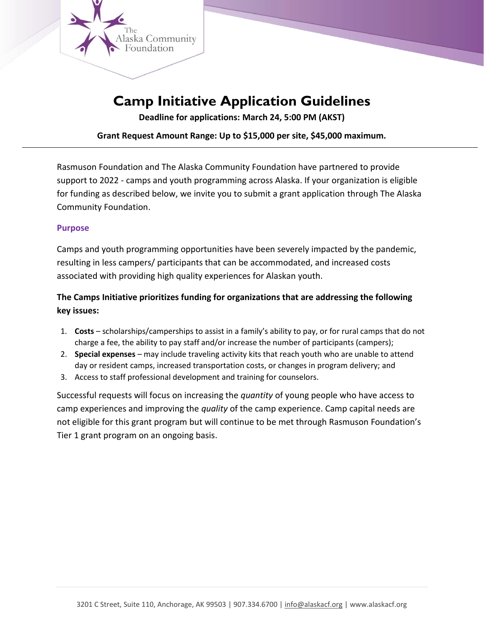

# **Camp Initiative Application Guidelines**

**Deadline for applications: March 24, 5:00 PM (AKST)** 

**Grant Request Amount Range: Up to \$15,000 per site, \$45,000 maximum.**

Rasmuson Foundation and The Alaska Community Foundation have partnered to provide support to 2022 - camps and youth programming across Alaska. If your organization is eligible for funding as described below, we invite you to submit a grant application through The Alaska Community Foundation.

#### **Purpose**

Camps and youth programming opportunities have been severely impacted by the pandemic, resulting in less campers/ participants that can be accommodated, and increased costs associated with providing high quality experiences for Alaskan youth.

## **The Camps Initiative prioritizes funding for organizations that are addressing the following key issues:**

- 1. **Costs** scholarships/camperships to assist in a family's ability to pay, or for rural camps that do not charge a fee, the ability to pay staff and/or increase the number of participants (campers);
- 2. **Special expenses** may include traveling activity kits that reach youth who are unable to attend day or resident camps, increased transportation costs, or changes in program delivery; and
- 3. Access to staff professional development and training for counselors.

Successful requests will focus on increasing the *quantity* of young people who have access to camp experiences and improving the *quality* of the camp experience. Camp capital needs are not eligible for this grant program but will continue to be met through Rasmuson Foundation's Tier 1 grant program on an ongoing basis.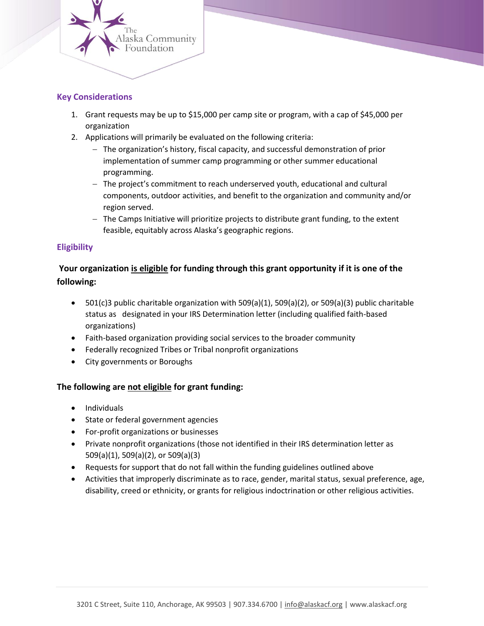

#### **Key Considerations**

- 1. Grant requests may be up to \$15,000 per camp site or program, with a cap of \$45,000 per organization
- 2. Applications will primarily be evaluated on the following criteria:
	- − The organization's history, fiscal capacity, and successful demonstration of prior implementation of summer camp programming or other summer educational programming.
	- − The project's commitment to reach underserved youth, educational and cultural components, outdoor activities, and benefit to the organization and community and/or region served.
	- − The Camps Initiative will prioritize projects to distribute grant funding, to the extent feasible, equitably across Alaska's geographic regions.

#### **Eligibility**

### **Your organization is eligible for funding through this grant opportunity if it is one of the following:**

- 501(c)3 public charitable organization with 509(a)(1), 509(a)(2), or 509(a)(3) public charitable status as designated in your IRS Determination letter (including qualified faith-based organizations)
- Faith-based organization providing social services to the broader community
- Federally recognized Tribes or Tribal nonprofit organizations
- City governments or Boroughs

#### **The following are not eligible for grant funding:**

- Individuals
- State or federal government agencies
- For-profit organizations or businesses
- Private nonprofit organizations (those not identified in their IRS determination letter as 509(a)(1), 509(a)(2), or 509(a)(3)
- Requests for support that do not fall within the funding guidelines outlined above
- Activities that improperly discriminate as to race, gender, marital status, sexual preference, age, disability, creed or ethnicity, or grants for religious indoctrination or other religious activities.